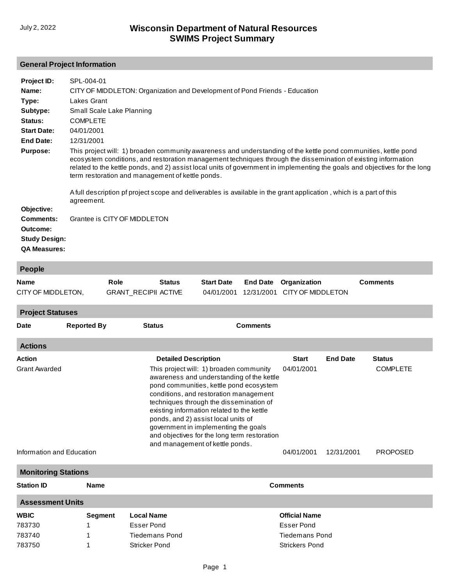## **General Project Information**

| Project ID:<br>Name:<br>Type: | SPL-004-01<br>CITY OF MIDDLETON: Organization and Development of Pond Friends - Education<br>Lakes Grant                                                                                                                                                                                                                                                                                                                                                                                                                                                |
|-------------------------------|---------------------------------------------------------------------------------------------------------------------------------------------------------------------------------------------------------------------------------------------------------------------------------------------------------------------------------------------------------------------------------------------------------------------------------------------------------------------------------------------------------------------------------------------------------|
| Subtype:<br>Status:           | Small Scale Lake Planning<br><b>COMPLETE</b>                                                                                                                                                                                                                                                                                                                                                                                                                                                                                                            |
| <b>Start Date:</b>            | 04/01/2001                                                                                                                                                                                                                                                                                                                                                                                                                                                                                                                                              |
| End Date:                     | 12/31/2001                                                                                                                                                                                                                                                                                                                                                                                                                                                                                                                                              |
| <b>Purpose:</b>               | This project will: 1) broaden community awareness and understanding of the kettle pond communities, kettle pond<br>ecosystem conditions, and restoration management techniques through the dissemination of existing information<br>related to the kettle ponds, and 2) assist local units of government in implementing the goals and objectives for the long<br>term restoration and management of kettle ponds.<br>A full description pf project scope and deliverables is available in the grant application, which is a part of this<br>agreement. |
| Objective:                    |                                                                                                                                                                                                                                                                                                                                                                                                                                                                                                                                                         |
| <b>Comments:</b>              | Grantee is CITY OF MIDDLETON                                                                                                                                                                                                                                                                                                                                                                                                                                                                                                                            |
| Outcome:                      |                                                                                                                                                                                                                                                                                                                                                                                                                                                                                                                                                         |
| <b>Study Design:</b>          |                                                                                                                                                                                                                                                                                                                                                                                                                                                                                                                                                         |
| <b>QA Measures:</b>           |                                                                                                                                                                                                                                                                                                                                                                                                                                                                                                                                                         |

| <b>People</b>                                     |                                                    |                                                      |                                                                                                                                                                                                                                                                                                                                                                                                                                      |                                 |                               |                                   |                 |                                    |  |
|---------------------------------------------------|----------------------------------------------------|------------------------------------------------------|--------------------------------------------------------------------------------------------------------------------------------------------------------------------------------------------------------------------------------------------------------------------------------------------------------------------------------------------------------------------------------------------------------------------------------------|---------------------------------|-------------------------------|-----------------------------------|-----------------|------------------------------------|--|
| <b>Name</b><br>CITY OF MIDDLETON,                 |                                                    | Role<br><b>Status</b><br><b>GRANT_RECIPII ACTIVE</b> |                                                                                                                                                                                                                                                                                                                                                                                                                                      | <b>Start Date</b><br>04/01/2001 | <b>End Date</b><br>12/31/2001 | Organization<br>CITY OF MIDDLETON |                 | <b>Comments</b>                    |  |
| <b>Project Statuses</b>                           |                                                    |                                                      |                                                                                                                                                                                                                                                                                                                                                                                                                                      |                                 |                               |                                   |                 |                                    |  |
| <b>Date</b>                                       | <b>Reported By</b>                                 |                                                      | <b>Status</b>                                                                                                                                                                                                                                                                                                                                                                                                                        |                                 | <b>Comments</b>               |                                   |                 |                                    |  |
| <b>Actions</b>                                    |                                                    |                                                      |                                                                                                                                                                                                                                                                                                                                                                                                                                      |                                 |                               |                                   |                 |                                    |  |
| <b>Action</b>                                     |                                                    |                                                      | <b>Detailed Description</b>                                                                                                                                                                                                                                                                                                                                                                                                          |                                 |                               | <b>Start</b>                      | <b>End Date</b> | <b>Status</b>                      |  |
| <b>Grant Awarded</b><br>Information and Education |                                                    |                                                      | This project will: 1) broaden community<br>awareness and understanding of the kettle<br>pond communities, kettle pond ecosystem<br>conditions, and restoration management<br>techniques through the dissemination of<br>existing information related to the kettle<br>ponds, and 2) assist local units of<br>government in implementing the goals<br>and objectives for the long term restoration<br>and management of kettle ponds. |                                 |                               | 04/01/2001<br>04/01/2001          | 12/31/2001      | <b>COMPLETE</b><br><b>PROPOSED</b> |  |
|                                                   | <b>Monitoring Stations</b>                         |                                                      |                                                                                                                                                                                                                                                                                                                                                                                                                                      |                                 |                               |                                   |                 |                                    |  |
| <b>Station ID</b>                                 | <b>Name</b>                                        |                                                      | <b>Comments</b>                                                                                                                                                                                                                                                                                                                                                                                                                      |                                 |                               |                                   |                 |                                    |  |
| <b>Assessment Units</b>                           |                                                    |                                                      |                                                                                                                                                                                                                                                                                                                                                                                                                                      |                                 |                               |                                   |                 |                                    |  |
| <b>WBIC</b>                                       | <b>Segment</b>                                     |                                                      | <b>Local Name</b><br><b>Official Name</b>                                                                                                                                                                                                                                                                                                                                                                                            |                                 |                               |                                   |                 |                                    |  |
| 783730                                            |                                                    | <b>Esser Pond</b>                                    |                                                                                                                                                                                                                                                                                                                                                                                                                                      |                                 |                               | <b>Esser Pond</b>                 |                 |                                    |  |
| 783740                                            |                                                    |                                                      | <b>Tiedemans Pond</b>                                                                                                                                                                                                                                                                                                                                                                                                                |                                 |                               | <b>Tiedemans Pond</b>             |                 |                                    |  |
| 783750                                            | <b>Stricker Pond</b><br><b>Strickers Pond</b><br>1 |                                                      |                                                                                                                                                                                                                                                                                                                                                                                                                                      |                                 |                               |                                   |                 |                                    |  |